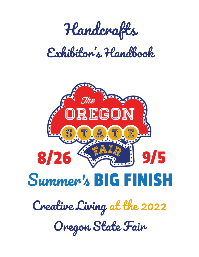

# *Exhibitor's Handbook*

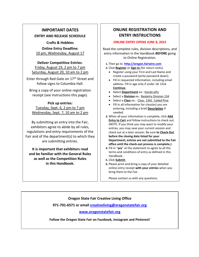## **IMPORTANT DATES**

#### **ENTRY AND RELEASE SCHEDULE**

**Crafts & Hobbies Online Entry Deadline:** 10 pm, Wednesday, August 17

**Deliver Competitive Entries**: Friday, August 19, 2 pm to 7 pm Saturday, August 20, 10 am to 2 pm

Enter through Red Gate on 17<sup>th</sup> Street and follow signs to Columbia Hall.

Bring a copy of your online registration receipt (see instructions this page).

**Pick up entries:**  Tuesday, Sept. 6, 2 pm to 7 pm Wednesday, Sept. 7, 10 am to 2 pm

By submitting an entry into the Fair, exhibitors agree to abide by all rules, regulations and entry requirements of the Fair and of the department(s) to which they are submitting entries.

**It is important that exhibitors read and be familiar with the General Rules as well as the Competition Rules in this Handbook.**

## **ONLINE REGISTRATION AND ENTRY INSTRUCTIONS**

#### **ONLINE ENTRY OPENS JUNE 8, 2022**

Read the complete rules, division descriptions, and entry information in the Handbook **BEFORE** going to Online Registration.

**1.** Then go to **[http://oregon.fairwire.com](http://oregon.fairwire.com/)**

**2.** Click **Register** or **Sign In** (for return visits).

- Register using your First and Last Name and create a password (write password down).
- Fill in requested information, including email address. Fill in age only if under 18. Click **Continue**.
- Select **Department** ex.: Handcrafts
- Select a **Division** ex*.:* Basketry Division 134
- Select a **Class** ex.: Class 1341 Coiled Pine
- Fill in all information for class(es) you are entering, including a brief **Description** if needed.
- **3.** When all your information is complete, click **Add Entry to Cart** and follow instructions to check out. (NOTE: If you think you may want to modify your entries, you may save your current session and check out at a later session. Be sure **to Check Out before the closing date listed for your Department; entries are not submitted to the Fair office until the check-out process is complete.)**
- **4.** Fill in "**yes**" at the statement to agree to all the terms and conditions of entry as defined in this Handbook.
- **5.** Click **Submit**.
- **6.** Please print and bring a copy of your detailed online entry receipt **with your entries** when you bring them to the Fair.

Please contact us with any questions.

#### **Oregon State Fair Creative Living Office**

**971-701-6571 or email [creativeliving@oregonstatefair.org](mailto:creativeliving@oregonstatefair.org)**

#### **[www.oregonstatefair.org](http://www.oregonstatefair.org/)**

**Follow the Oregon State Fair on Facebook, Instagram and Pinterest!**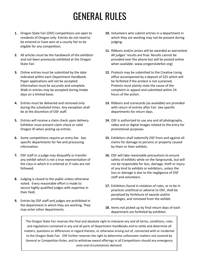# GENERAL RULES

- **1.** Oregon State Fair (OSF) competitions are open to residents of Oregon only. Entries do not need to be entered or have won at a county fair to be eligible for any competition.
- **2.** All articles must be the handiwork of the exhibitor and not been previously exhibited at the Oregon State Fair.
- **3.** Online entries must be submitted by the date indicated within each Department Handbook. Paper applications will not be accepted. Information must be accurate and complete. Walk-in entries may be accepted during intake days on a limited basis.
- **4.** Entries must be delivered and removed only during the scheduled times. Any exception shall be at the discretion of OSF staff.
- **5.** Entries will receive a claim check upon delivery. Exhibitor must present claim check or valid Oregon ID when picking up entries.
- **6.** Some competitions require an entry fee. See specific departments for fee and processing information.
- **7.** OSF staff or a judge may disqualify or transfer any exhibit which is not a true representation of the class in which it is entered or if rules are not followed.
- **8.** Judging is closed to the public unless otherwise noted. Every reasonable effort is made to secure highly qualified judges with expertise in their field.
- **9.** Entries by OSF staff and judges are prohibited in the department in which they are working. They may enter other departments.
- **10.** Volunteers who submit entries in a department in which they are working may not be present during judging.
- **11.** Ribbons and/or prizes will be awarded as warranted. All judges' results are final. Results cannot be provided over the phone but will be posted online when available. www.oregonstatefair.org)
- **12.** Protests may be submitted to the Creative Living office accompanied by a deposit of \$25 which will be forfeited if the protest is not sustained. Protests must plainly state the cause of the complaint or appeal and submitted within 24 hours of the action.
- **13.** Ribbons and scorecards (as available) are provided with return of entries after Fair. See specific departments for return days.
- **14.** OSF is authorized to use any and all photographs, video and or digital images related to the entry for promotional purposes.
- **15.** Exhibitors shall indemnify OSF from and against all claims for damage to persons or property caused by them or their exhibits.
- **16.** OSF will take reasonable precautions to ensure safety of exhibits while on the fairgrounds, but will not be responsible for loss, damage, theft or injury of any kind to exhibits or exhibitors, unless the loss or damage is due to the negligence of OSF staff and volunteers.
- **17.** Exhibitors found in violation of rules, or to be in practices unethical or adverse to OSF, shall be penalized by forfeiture of awards and/or privileges, and removed from the exhibit.
- **18.** Items not picked up by final return days of each department are forfeited by exhibitor.

The Oregon State Fair reserves the final and absolute right to interpret any and all terms, conditions, rules and regulations contained in any and all parts of Department Handbooks and to settle and determine all matters, questions or differences in regard thereto, or otherwise arising out of, connected with or incidental to the Oregon State Fair. OSF further reserves the right to determine unforeseen matters not covered by General or Competition Rules, and to withdraw award offerings in all Competitions should any emergency exist and circumstances demand.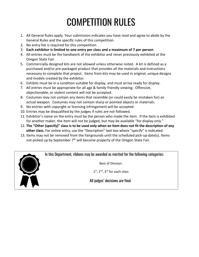# COMPETITION RULES

- 1. All General Rules apply. Your submission indicates you have read and agree to abide by the General Rules and the specific rules of this competition.
- 2. No entry fee is required for this competition.
- 3. **Each exhibitor is limited to one entry per class and a maximum of 7 per person**.
- 4. All entries must be the handiwork of the exhibitor and never previously exhibited at the Oregon State Fair.
- 5. Commercially designed kits are not allowed unless otherwise noted. A kit is defined as a purchased and/or pre-packaged product that provides all the materials and instructions necessary to complete that project. Items from kits may be used in original, unique designs and models created by the exhibitor.
- 6. Exhibits must be in a condition suitable for display, and must arrive ready for display.
- 7. All entries must be appropriate for all age & family friendly viewing. Offensive, objectionable, or violent content will not be accepted.
- 8. Costumes may not contain any items that resemble (or could easily be mistaken for) an actual weapon. Costumes may not contain sharp or pointed objects or materials.
- 9. No entries with copyright or licensing infringement will be accepted.
- 10. Entries may be disqualified by the judges if rules are not followed.
- 11. Exhibitor's name on the entry must be the person who made the item. If the item is exhibited for another maker, the item will not be judged, but may be available "for display only."
- 12. **The "Other (specify)" class is to be used only when an item does not fit the description of any other class.** For online entry, use the "Description" text box where "specify" is indicated.
- 13. Items may not be removed from the Fairgrounds until the scheduled pick-up date(s). Items not picked up by September 7<sup>th</sup> will become property of the Oregon State Fair.

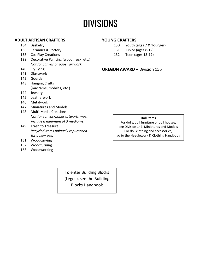# **DIVISIONS**

#### **ADULT ARTISAN CRAFTERS**

- 134 Basketry
- 136 Ceramics & Pottery
- 138 Cos Play Creations
- 139 Decorative Painting (wood, rock, etc.) *Not for canvas or paper artwork.*
- 140 Fly Tying
- 141 Glasswork
- 142 Gourds
- 143 Hanging Crafts (macrame, mobiles, etc.)
- 144 Jewelry
- 145 Leatherwork
- 146 Metalwork
- 147 Miniatures and Models
- 148 Multi-Media Creations *Not for canvas/paper artwork, must include a minimum of 3 mediums*.
- 149 Trash to Treasure *Recycled items uniquely repurposed for a new use.*
- 151 Woodcarving
- 152 Woodturning
- 153 Woodworking

#### **YOUNG CRAFTERS**

- 130 Youth (ages 7 & Younger)
- 131 Junior (ages 8-12)
- 132 Teen (ages 13-17)

#### **OREGON AWARD –** Division 156

#### **Doll Items**

For dolls, doll furniture or doll houses, see Division 147, Miniatures and Models For doll clothing and accessories, go to the Needlework & Clothing Handbook

To enter Building Blocks (Legos), see the Building Blocks Handbook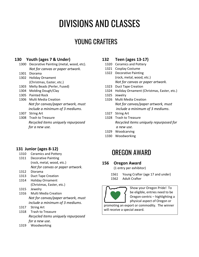# DIVISIONS AND CLASSES

# YOUNG CRAFTERS

### **130 Youth (ages 7 & Under)**

- 1300 Decorative Painting (metal, wood, etc). *Not for canvas or paper artwork.*
- 1301 Diorama
- 1302 Holiday Ornament (Christmas, Easter, etc.)
- 1303 Melty Beads (Perler, Fused)
- 1304 Molding Dough/Clay
- 1305 Painted Rock
- 1306 Multi Media Creation *Not for canvas/paper artwork, must include a minimum of 3 mediums*.
- 1307 String Art
- 1308 Trash to Treasure *Recycled items uniquely repurposed for a new use.*

## **131 Junior (ages 8-12)**

- 1310 Ceramics and Pottery
- 1311 Decorative Painting (rock, metal, wood, etc.) *Not for canvas or paper artwork.*
- 1312 Diorama
- 1313 Duct Tape Creation
- 1314 Holiday Ornament (Christmas, Easter, etc.)
- 1315 Jewelry
- 1316 Multi Media Creation *Not for canvas/paper artwork, must include a minimum of 3 mediums*.
- 1317 String Art
- 1318 Trash to Treasure *Recycled items uniquely repurposed for a new use.*
- 1319 Woodworking

### **132 Teen (ages 13-17)**

- 1320 Ceramics and Pottery
- 1321 Cosplay Costume
- 1322 Decorative Painting (rock, metal, wood, etc.) *Not for canvas or paper artwork.*
- 1323 Duct Tape Creation
- 1324 Holiday Ornament (Christmas, Easter, etc.)
- 1325 Jewelry
- 1326 Multi Media Creation *Not for canvas/paper artwork, must include a minimum of 3 mediums*.
- 1327 String Art
- 1328 Trash to Treasure *Recycled items uniquely repurposed for a new use.*
- 1329 Woodcarving
- 1330 Woodworking

# OREGON AWARD

#### **156 Oregon Award**

(1 entry per exhibitor)

1561 Young Crafter (age 17 and under) 1562 Adult Crafter



Show your Oregon Pride! To be eligible, entries need to be Oregon-centric – highlighting a physical aspect of Oregon or

promoting an export or commodity. The winner will receive a special award.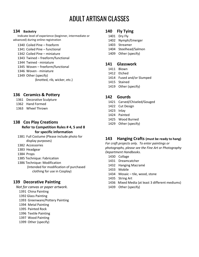# ADULT ARTISAN CLASSES

#### **Basketry**

Indicate level of experience (beginner, intermediate or advanced) during online registration

 Coiled Pine – freeform Coiled Pine – functional Coiled Pine – miniature Twined – freeform/functional Twined - miniature Woven – freeform/functional Woven - miniature Other (specify) (knotted, rib, wicker, etc.)

### **Ceramics & Pottery**

- Decorative Sculpture
- Hand Formed
- Wheel Thrown

#### **Cos Play Creations**

**Refer to Competition Rules # 4, 5 and 8 for specific information**

- Full Costume (Please include photo for display purposes)
- Accessories
- Headgear
- Props
- 1385 Technique: Fabrication
- 1386 Technique: Modification
	- (Intended for modification of purchased clothing for use in Cosplay)

#### **Decorative Painting**

*Not for canvas or paper artwork.*

- China Painting
- 1392 Glass Painting
- Greenware/Pottery Painting
- Metal Painting
- Painted Rock
- Textile Painting
- Wood Painting
- Other (specify)

#### **Fly Tying**

- Dry Fly
- Nymph/Emerger
- Streamer
- Steelhead/Salmon
- Other (specify)

#### **Glasswork**

- Blown
- Etched
- Fused and/or Slumped
- Stained
- Other (specify)

#### **Gourds**

- Carved/Chiseled/Gouged
- Cut Design
- Inlay
- Painted
- Wood Burned
- Other (specify)

#### **Hanging Crafts (must be ready to hang)**

*For craft projects only. To enter paintings or photographs, please see the Fine Art or Photography Department Handbooks.* 

- Collage
- Dreamcatcher
- Hanging Macramé
- Mobile
- Mosaic tile, wood, stone
- String Art
- 1436 Mixed Media (at least 3 different mediums)
- Other (specify)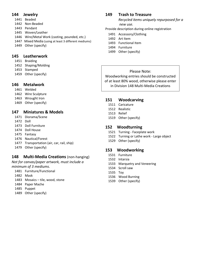#### **Jewelry**

- Beaded
- Non-Beaded
- Pendant
- Woven/Leather
- Wire/Metal Work (casting, pounded, etc.)
- 1447 Mixed Media (using at least 3 different mediums)
- Other (specify)

#### **Leatherwork**

- Braiding
- Shaping/Molding
- Stamped
- Other (specify)

#### **Metalwork**

- Welded
- Wire Sculpture
- Wrought Iron
- Other (specify)

### **Miniatures & Models**

- Diorama/Scene
- Doll
- Doll Furniture
- Doll House
- Fantasy
- Nautical/Forest
- Transportation (air, car, rail, ship)
- Other (specify)

## **Multi-Media Creations** (non-hanging)

*Not for canvas/paper artwork, must include a minimum of 3 mediums*.

- Furniture/Functional
- Mask
- Mosaics tile, wood, stone
- Paper Mache
- Puppet
- Other (specify)

# **Trash to Treasure**

*Recycled items uniquely repurposed for a new use.*

- Provide description during online registration
	- Accessory/Clothing
	- Art Item
	- Functional Item
	- Furniture
	- Other (specify)

### Please Note:

Woodworking entries should be constructed of at least 80% wood, otherwise please enter in Division 148 Multi-Media Creations

## **Woodcarving**

- Caricature
- Realistic
- Relief
- Other (specify)

#### **Woodturning**

- Turning Faceplate work
- Turning or Lathe work Large object
- Other (specify)

#### **Woodworking**

- Furniture
- Intarsia
- Marquetry and Veneering
- Scroll saw
- Toy
- Wood Burning
- Other (specify)